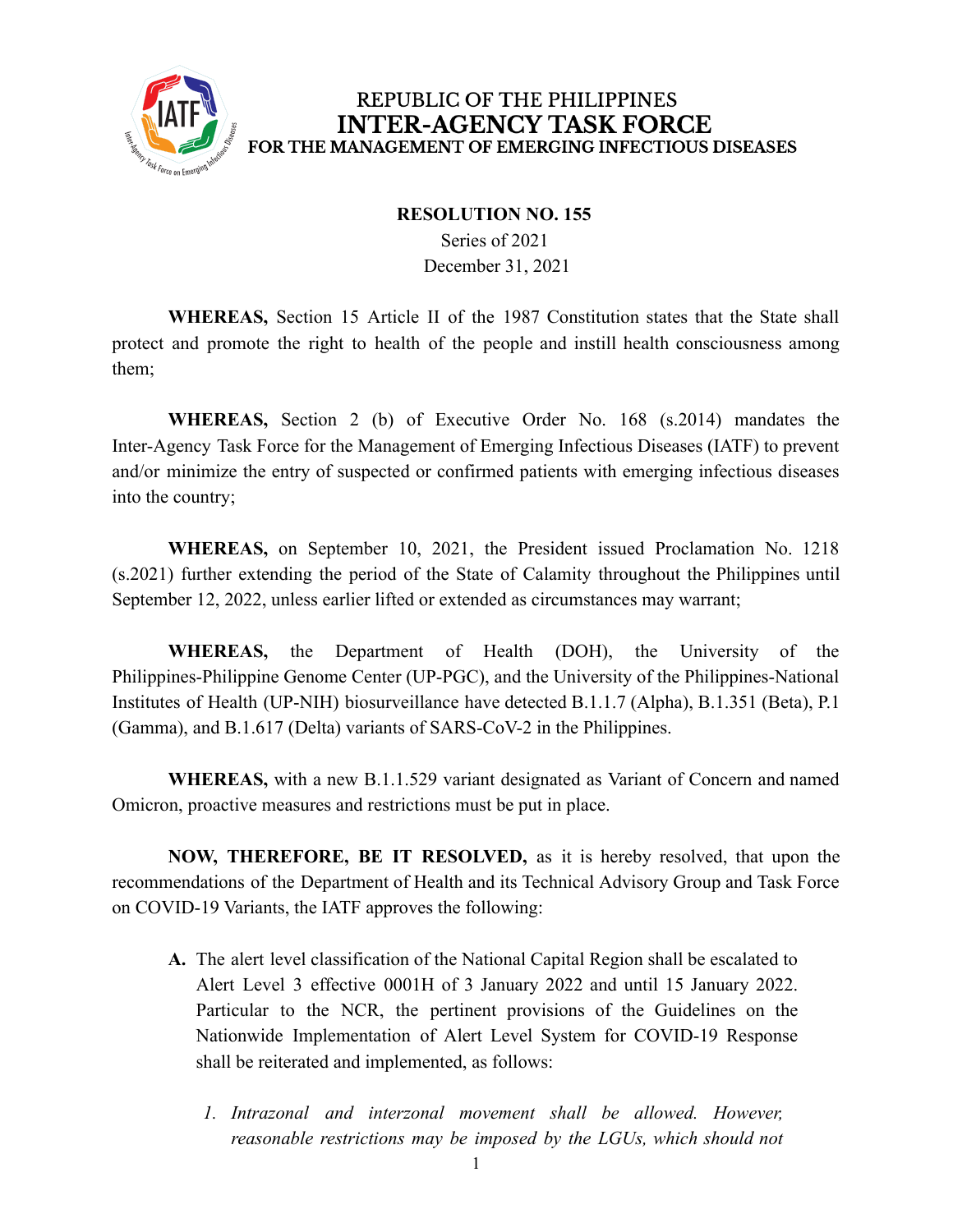

#### **RESOLUTION NO. 155**

Series of 2021 December 31, 2021

**WHEREAS,** Section 15 Article II of the 1987 Constitution states that the State shall protect and promote the right to health of the people and instill health consciousness among them;

**WHEREAS,** Section 2 (b) of Executive Order No. 168 (s.2014) mandates the Inter-Agency Task Force for the Management of Emerging Infectious Diseases (IATF) to prevent and/or minimize the entry of suspected or confirmed patients with emerging infectious diseases into the country;

**WHEREAS,** on September 10, 2021, the President issued Proclamation No. 1218 (s.2021) further extending the period of the State of Calamity throughout the Philippines until September 12, 2022, unless earlier lifted or extended as circumstances may warrant;

**WHEREAS,** the Department of Health (DOH), the University of the Philippines-Philippine Genome Center (UP-PGC), and the University of the Philippines-National Institutes of Health (UP-NIH) biosurveillance have detected B.1.1.7 (Alpha), B.1.351 (Beta), P.1 (Gamma), and B.1.617 (Delta) variants of SARS-CoV-2 in the Philippines.

**WHEREAS,** with a new B.1.1.529 variant designated as Variant of Concern and named Omicron, proactive measures and restrictions must be put in place.

**NOW, THEREFORE, BE IT RESOLVED,** as it is hereby resolved, that upon the recommendations of the Department of Health and its Technical Advisory Group and Task Force on COVID-19 Variants, the IATF approves the following:

- **A.** The alert level classification of the National Capital Region shall be escalated to Alert Level 3 effective 0001H of 3 January 2022 and until 15 January 2022. Particular to the NCR, the pertinent provisions of the Guidelines on the Nationwide Implementation of Alert Level System for COVID-19 Response shall be reiterated and implemented, as follows:
	- *1. Intrazonal and interzonal movement shall be allowed. However, reasonable restrictions may be imposed by the LGUs, which should not*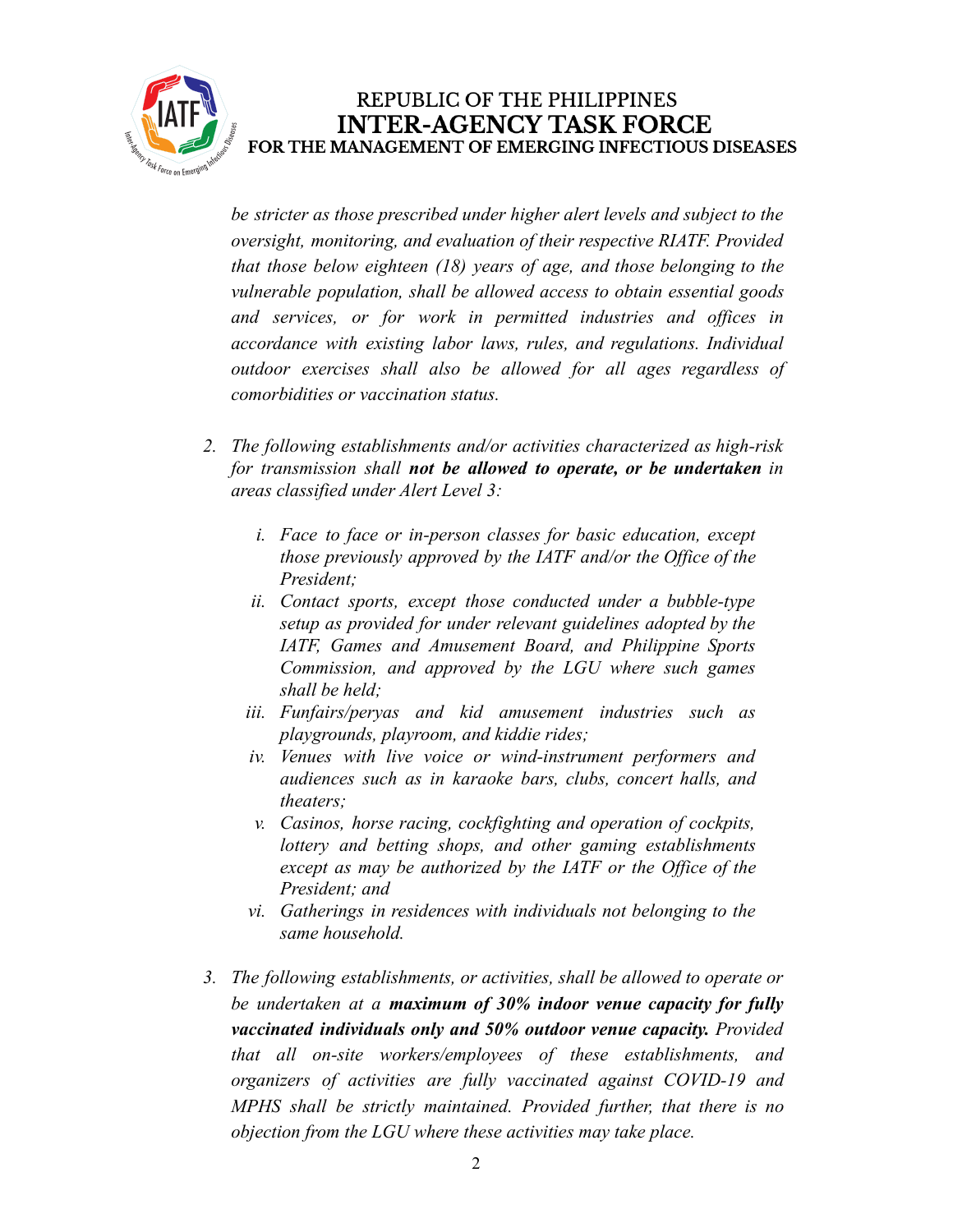

*be stricter as those prescribed under higher alert levels and subject to the oversight, monitoring, and evaluation of their respective RIATF. Provided that those below eighteen (18) years of age, and those belonging to the vulnerable population, shall be allowed access to obtain essential goods and services, or for work in permitted industries and offices in accordance with existing labor laws, rules, and regulations. Individual outdoor exercises shall also be allowed for all ages regardless of comorbidities or vaccination status.*

- *2. The following establishments and/or activities characterized as high-risk for transmission shall not be allowed to operate, or be undertaken in areas classified under Alert Level 3:*
	- *i. Face to face or in-person classes for basic education, except those previously approved by the IATF and/or the Office of the President;*
	- *ii. Contact sports, except those conducted under a bubble-type setup as provided for under relevant guidelines adopted by the IATF, Games and Amusement Board, and Philippine Sports Commission, and approved by the LGU where such games shall be held;*
	- *iii. Funfairs/peryas and kid amusement industries such as playgrounds, playroom, and kiddie rides;*
	- *iv. Venues with live voice or wind-instrument performers and audiences such as in karaoke bars, clubs, concert halls, and theaters;*
	- *v. Casinos, horse racing, cockfighting and operation of cockpits, lottery and betting shops, and other gaming establishments except as may be authorized by the IATF or the Office of the President; and*
	- *vi. Gatherings in residences with individuals not belonging to the same household.*
- *3. The following establishments, or activities, shall be allowed to operate or be undertaken at a maximum of 30% indoor venue capacity for fully vaccinated individuals only and 50% outdoor venue capacity. Provided that all on-site workers/employees of these establishments, and organizers of activities are fully vaccinated against COVID-19 and MPHS shall be strictly maintained. Provided further, that there is no objection from the LGU where these activities may take place.*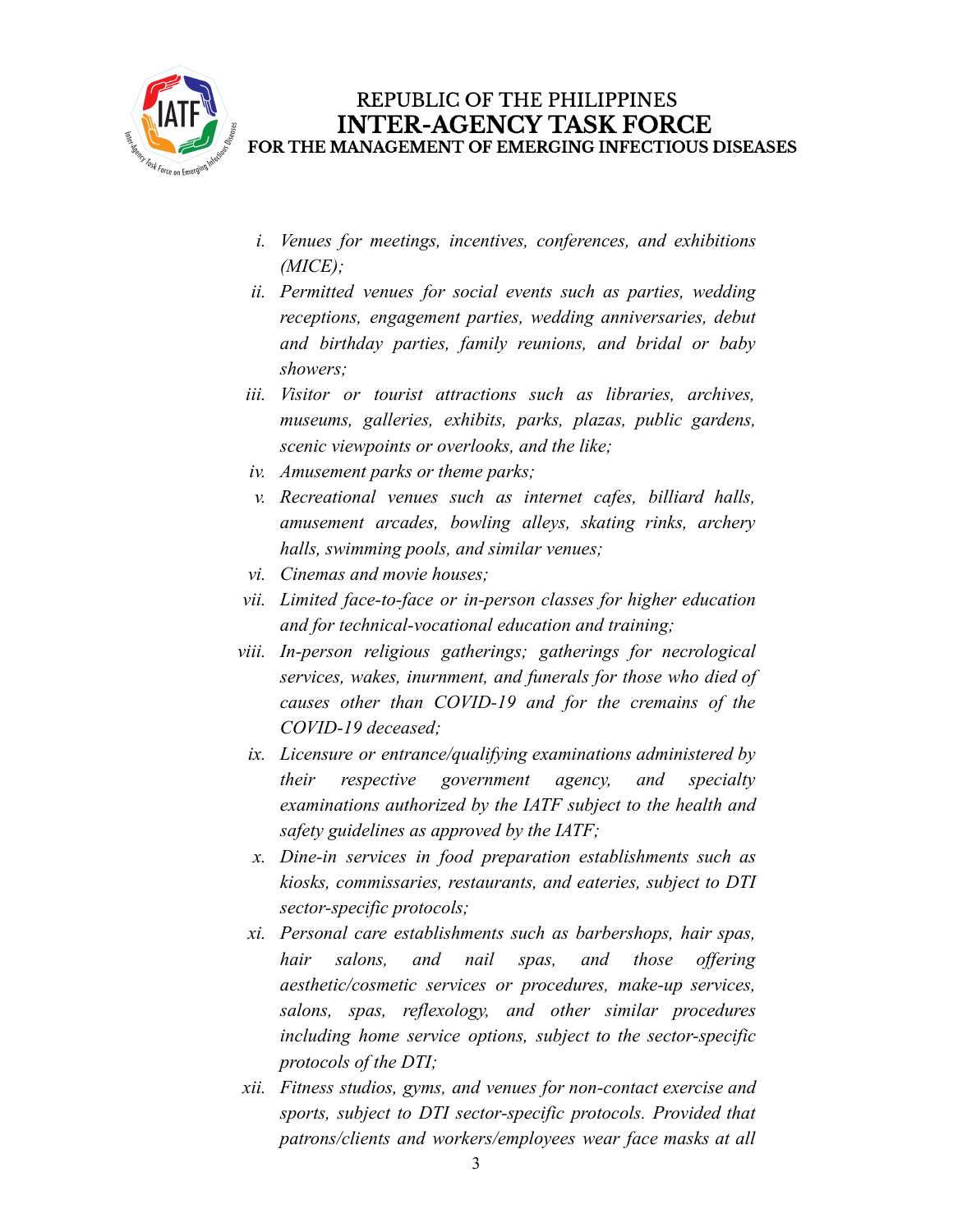

- *i. Venues for meetings, incentives, conferences, and exhibitions (MICE);*
- *ii. Permitted venues for social events such as parties, wedding receptions, engagement parties, wedding anniversaries, debut and birthday parties, family reunions, and bridal or baby showers;*
- *iii. Visitor or tourist attractions such as libraries, archives, museums, galleries, exhibits, parks, plazas, public gardens, scenic viewpoints or overlooks, and the like;*
- *iv. Amusement parks or theme parks;*
- *v. Recreational venues such as internet cafes, billiard halls, amusement arcades, bowling alleys, skating rinks, archery halls, swimming pools, and similar venues;*
- *vi. Cinemas and movie houses;*
- *vii. Limited face-to-face or in-person classes for higher education and for technical-vocational education and training;*
- *viii. In-person religious gatherings; gatherings for necrological services, wakes, inurnment, and funerals for those who died of causes other than COVID-19 and for the cremains of the COVID-19 deceased;*
	- *ix. Licensure or entrance/qualifying examinations administered by their respective government agency, and specialty examinations authorized by the IATF subject to the health and safety guidelines as approved by the IATF;*
	- *x. Dine-in services in food preparation establishments such as kiosks, commissaries, restaurants, and eateries, subject to DTI sector-specific protocols;*
- *xi. Personal care establishments such as barbershops, hair spas, hair salons, and nail spas, and those offering aesthetic/cosmetic services or procedures, make-up services, salons, spas, reflexology, and other similar procedures including home service options, subject to the sector-specific protocols of the DTI;*
- *xii. Fitness studios, gyms, and venues for non-contact exercise and sports, subject to DTI sector-specific protocols. Provided that patrons/clients and workers/employees wear face masks at all*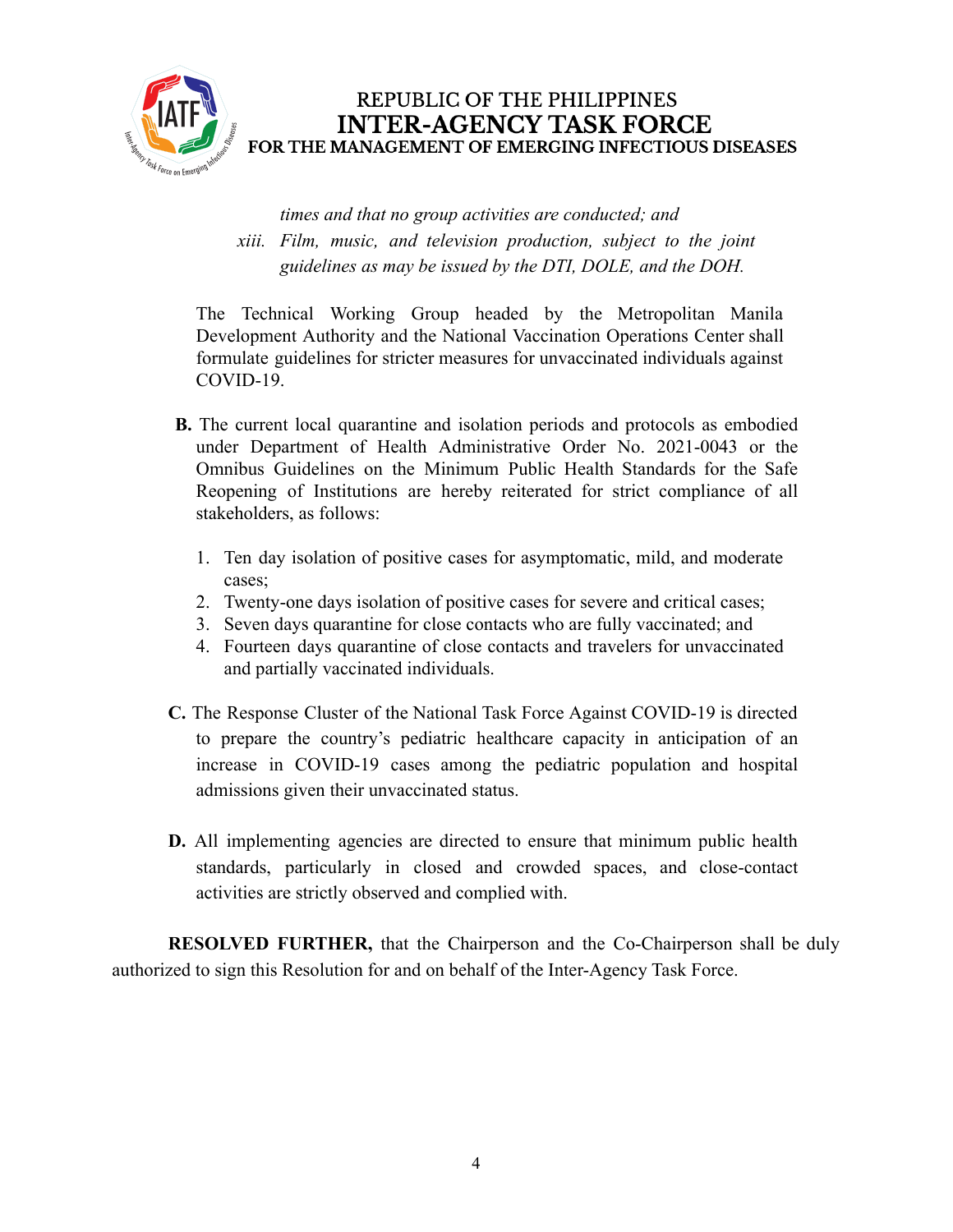

*times and that no group activities are conducted; and xiii. Film, music, and television production, subject to the joint guidelines as may be issued by the DTI, DOLE, and the DOH.*

The Technical Working Group headed by the Metropolitan Manila Development Authority and the National Vaccination Operations Center shall formulate guidelines for stricter measures for unvaccinated individuals against COVID-19.

- **B.** The current local quarantine and isolation periods and protocols as embodied under Department of Health Administrative Order No. 2021-0043 or the Omnibus Guidelines on the Minimum Public Health Standards for the Safe Reopening of Institutions are hereby reiterated for strict compliance of all stakeholders, as follows:
	- 1. Ten day isolation of positive cases for asymptomatic, mild, and moderate cases;
	- 2. Twenty-one days isolation of positive cases for severe and critical cases;
	- 3. Seven days quarantine for close contacts who are fully vaccinated; and
	- 4. Fourteen days quarantine of close contacts and travelers for unvaccinated and partially vaccinated individuals.
- **C.** The Response Cluster of the National Task Force Against COVID-19 is directed to prepare the country's pediatric healthcare capacity in anticipation of an increase in COVID-19 cases among the pediatric population and hospital admissions given their unvaccinated status.
- **D.** All implementing agencies are directed to ensure that minimum public health standards, particularly in closed and crowded spaces, and close-contact activities are strictly observed and complied with.

**RESOLVED FURTHER,** that the Chairperson and the Co-Chairperson shall be duly authorized to sign this Resolution for and on behalf of the Inter-Agency Task Force.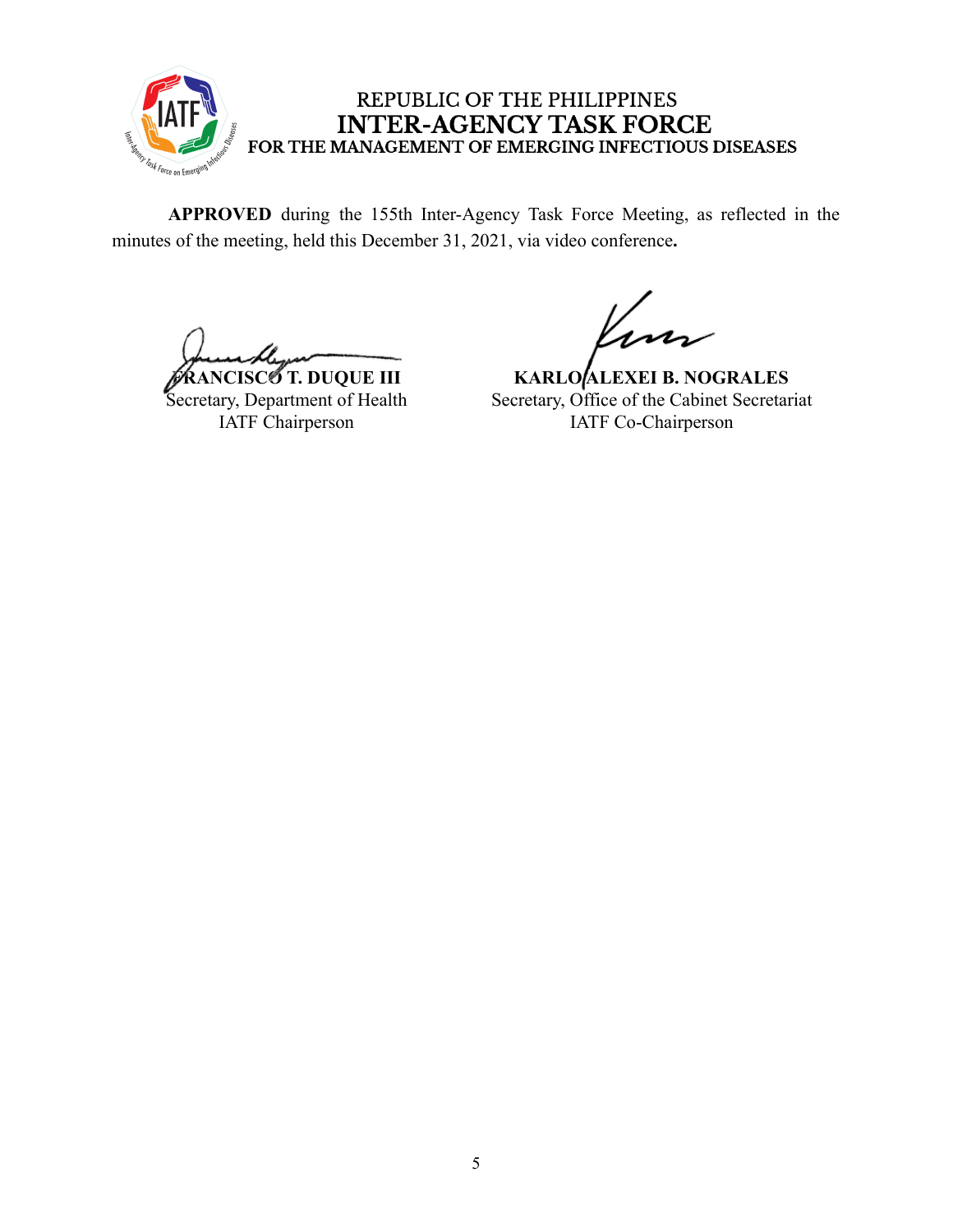

**APPROVED** during the 155th Inter-Agency Task Force Meeting, as reflected in the minutes of the meeting, held this December 31, 2021, via video conference**.**

**FRANCISCO T. DUQUE III** Secretary, Department of Health IATF Chairperson

**KARLO ALEXEI B. NOGRALES** Secretary, Office of the Cabinet Secretariat IATF Co-Chairperson